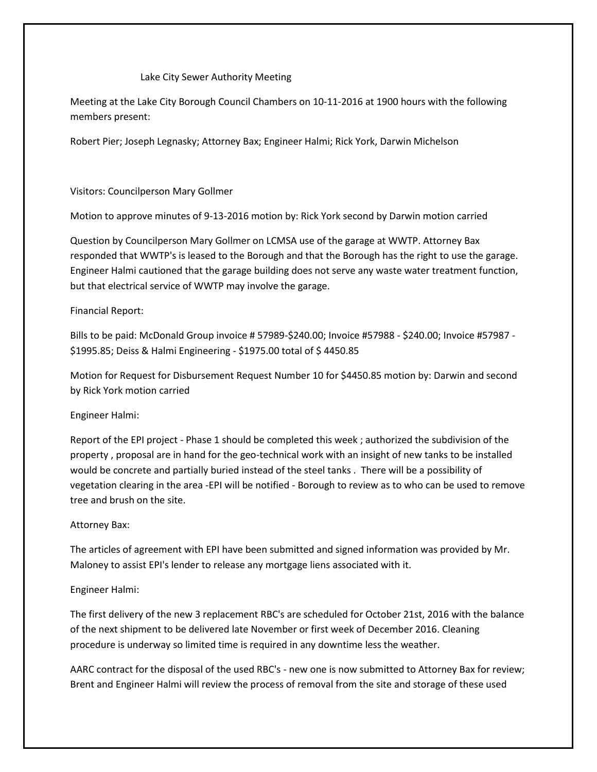# Lake City Sewer Authority Meeting

Meeting at the Lake City Borough Council Chambers on 10-11-2016 at 1900 hours with the following members present:

Robert Pier; Joseph Legnasky; Attorney Bax; Engineer Halmi; Rick York, Darwin Michelson

### Visitors: Councilperson Mary Gollmer

Motion to approve minutes of 9-13-2016 motion by: Rick York second by Darwin motion carried

Question by Councilperson Mary Gollmer on LCMSA use of the garage at WWTP. Attorney Bax responded that WWTP's is leased to the Borough and that the Borough has the right to use the garage. Engineer Halmi cautioned that the garage building does not serve any waste water treatment function, but that electrical service of WWTP may involve the garage.

## Financial Report:

Bills to be paid: McDonald Group invoice # 57989-\$240.00; Invoice #57988 - \$240.00; Invoice #57987 - \$1995.85; Deiss & Halmi Engineering - \$1975.00 total of \$ 4450.85

Motion for Request for Disbursement Request Number 10 for \$4450.85 motion by: Darwin and second by Rick York motion carried

#### Engineer Halmi:

Report of the EPI project - Phase 1 should be completed this week ; authorized the subdivision of the property , proposal are in hand for the geo-technical work with an insight of new tanks to be installed would be concrete and partially buried instead of the steel tanks . There will be a possibility of vegetation clearing in the area -EPI will be notified - Borough to review as to who can be used to remove tree and brush on the site.

#### Attorney Bax:

The articles of agreement with EPI have been submitted and signed information was provided by Mr. Maloney to assist EPI's lender to release any mortgage liens associated with it.

# Engineer Halmi:

The first delivery of the new 3 replacement RBC's are scheduled for October 21st, 2016 with the balance of the next shipment to be delivered late November or first week of December 2016. Cleaning procedure is underway so limited time is required in any downtime less the weather.

AARC contract for the disposal of the used RBC's - new one is now submitted to Attorney Bax for review; Brent and Engineer Halmi will review the process of removal from the site and storage of these used